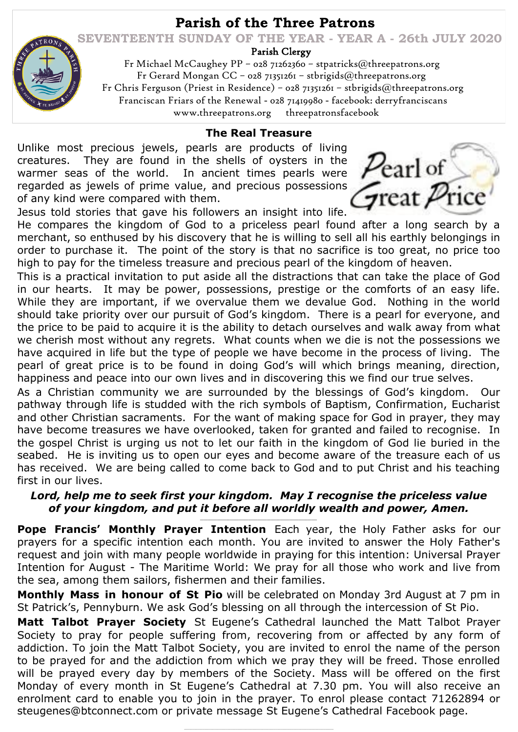# **Parish of the Three Patrons**

 **SEVENTEENTH SUNDAY OF THE YEAR - YEAR A - 26th JULY 2020**

Parish Clergy

 Fr Michael McCaughey PP – 028 71262360 – stpatricks@threepatrons.org Fr Gerard Mongan CC – 028 71351261 – stbrigids@threepatrons.org Fr Chris Ferguson (Priest in Residence) – 028 71351261 – stbrigids@threepatrons.org Franciscan Friars of the Renewal - 028 71419980 - facebook: derryfranciscans www.threepatrons.org threepatronsfacebook

#### **The Real Treasure**

Unlike most precious jewels, pearls are products of living creatures. They are found in the shells of oysters in the warmer seas of the world. In ancient times pearls were regarded as jewels of prime value, and precious possessions of any kind were compared with them.

earl of Freat Price

Jesus told stories that gave his followers an insight into life. He compares the kingdom of God to a priceless pearl found after a long search by a merchant, so enthused by his discovery that he is willing to sell all his earthly belongings in order to purchase it. The point of the story is that no sacrifice is too great, no price too high to pay for the timeless treasure and precious pearl of the kingdom of heaven.

This is a practical invitation to put aside all the distractions that can take the place of God in our hearts. It may be power, possessions, prestige or the comforts of an easy life. While they are important, if we overvalue them we devalue God. Nothing in the world should take priority over our pursuit of God's kingdom. There is a pearl for everyone, and the price to be paid to acquire it is the ability to detach ourselves and walk away from what we cherish most without any regrets. What counts when we die is not the possessions we have acquired in life but the type of people we have become in the process of living. The pearl of great price is to be found in doing God's will which brings meaning, direction, happiness and peace into our own lives and in discovering this we find our true selves.

As a Christian community we are surrounded by the blessings of God's kingdom. Our pathway through life is studded with the rich symbols of Baptism, Confirmation, Eucharist and other Christian sacraments. For the want of making space for God in prayer, they may have become treasures we have overlooked, taken for granted and failed to recognise. In the gospel Christ is urging us not to let our faith in the kingdom of God lie buried in the seabed. He is inviting us to open our eyes and become aware of the treasure each of us has received. We are being called to come back to God and to put Christ and his teaching first in our lives.

### *Lord, help me to seek first your kingdom. May I recognise the priceless value of your kingdom, and put it before all worldly wealth and power, Amen.*

*\_\_\_\_\_\_\_\_\_\_\_\_\_\_\_\_\_\_\_\_\_\_\_\_\_\_\_\_\_\_\_\_\_\_\_\_\_\_\_\_\_\_\_\_\_\_\_\_\_\_\_\_\_\_\_\_\_\_\_\_\_\_\_*

**Pope Francis' Monthly Prayer Intention** Each year, the Holy Father asks for our prayers for a specific intention each month. You are invited to answer the Holy Father's request and join with many people worldwide in praying for this intention: Universal Prayer Intention for August - The Maritime World: We pray for all those who work and live from the sea, among them sailors, fishermen and their families.

**Monthly Mass in honour of St Pio** will be celebrated on Monday 3rd August at 7 pm in St Patrick's, Pennyburn. We ask God's blessing on all through the intercession of St Pio.

**Matt Talbot Prayer Society** St Eugene's Cathedral launched the Matt Talbot Prayer Society to pray for people suffering from, recovering from or affected by any form of addiction. To join the Matt Talbot Society, you are invited to enrol the name of the person to be prayed for and the addiction from which we pray they will be freed. Those enrolled will be prayed every day by members of the Society. Mass will be offered on the first Monday of every month in St Eugene's Cathedral at 7.30 pm. You will also receive an enrolment card to enable you to join in the prayer. To enrol please contact 71262894 or steugenes@btconnect.com or private message St Eugene's Cathedral Facebook page.

 $\_$  ,  $\_$  ,  $\_$  ,  $\_$  ,  $\_$  ,  $\_$  ,  $\_$  ,  $\_$  ,  $\_$  ,  $\_$  ,  $\_$  ,  $\_$  ,  $\_$  ,  $\_$  ,  $\_$  ,  $\_$  ,  $\_$  ,  $\_$  ,  $\_$  ,  $\_$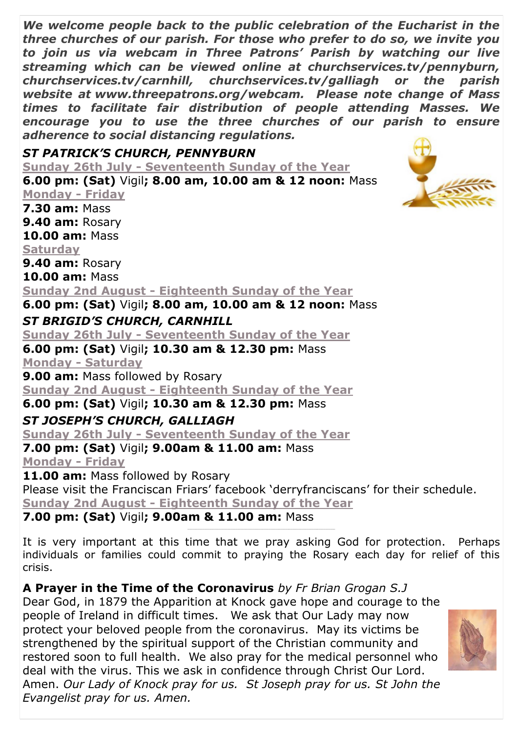*We welcome people back to the public celebration of the Eucharist in the three churches of our parish. For those who prefer to do so, we invite you to join us via webcam in Three Patrons' Parish by watching our live streaming which can be viewed online at churchservices.tv/pennyburn, churchservices.tv/carnhill, churchservices.tv/galliagh or the parish website at www.threepatrons.org/webcam. Please note change of Mass times to facilitate fair distribution of people attending Masses. We encourage you to use the three churches of our parish to ensure adherence to social distancing regulations.*

## *ST PATRICK'S CHURCH, PENNYBURN*

**Sunday 26th July - Seventeenth Sunday of the Year 6.00 pm: (Sat)** Vigil**; 8.00 am, 10.00 am & 12 noon:** Mass

**Monday - Friday 7.30 am:** Mass **9.40 am:** Rosary **10.00 am:** Mass **Saturday**

**9.40 am:** Rosary

**10.00 am:** Mass

**Sunday 2nd August - Eighteenth Sunday of the Year**

**6.00 pm: (Sat)** Vigil**; 8.00 am, 10.00 am & 12 noon:** Mass *ST BRIGID'S CHURCH, CARNHILL*

**Sunday 26th July - Seventeenth Sunday of the Year**

**6.00 pm: (Sat)** Vigil**; 10.30 am & 12.30 pm:** Mass **Monday - Saturday**

**9.00 am:** Mass followed by Rosary

**Sunday 2nd August - Eighteenth Sunday of the Year**

**6.00 pm: (Sat)** Vigil**; 10.30 am & 12.30 pm:** Mass

## *ST JOSEPH'S CHURCH, GALLIAGH*

**Sunday 26th July - Seventeenth Sunday of the Year**

**7.00 pm: (Sat)** Vigil**; 9.00am & 11.00 am:** Mass **Monday - Friday**

11.00 am: Mass followed by Rosary

Please visit the Franciscan Friars' facebook 'derryfranciscans' for their schedule. **Sunday 2nd August - Eighteenth Sunday of the Year**

**7.00 pm: (Sat)** Vigil**; 9.00am & 11.00 am:** Mass

It is very important at this time that we pray asking God for protection. Perhaps individuals or families could commit to praying the Rosary each day for relief of this crisis.

\_\_\_\_\_\_\_\_\_\_\_\_\_\_\_\_\_\_\_\_\_\_\_\_\_\_\_\_\_\_\_\_\_\_\_\_\_\_\_\_\_\_\_\_\_\_\_\_\_\_\_\_\_\_\_\_\_\_\_\_\_\_\_\_\_\_\_\_\_\_\_\_\_\_\_\_\_\_\_\_\_\_\_\_\_\_\_\_\_

**A Prayer in the Time of the Coronavirus** *by Fr Brian Grogan S.J*

Dear God, in 1879 the Apparition at Knock gave hope and courage to the people of Ireland in difficult times. We ask that Our Lady may now protect your beloved people from the coronavirus. May its victims be strengthened by the spiritual support of the Christian community and restored soon to full health. We also pray for the medical personnel who deal with the virus. This we ask in confidence through Christ Our Lord. Amen. *Our Lady of Knock pray for us. St Joseph pray for us. St John the Evangelist pray for us. Amen.* 

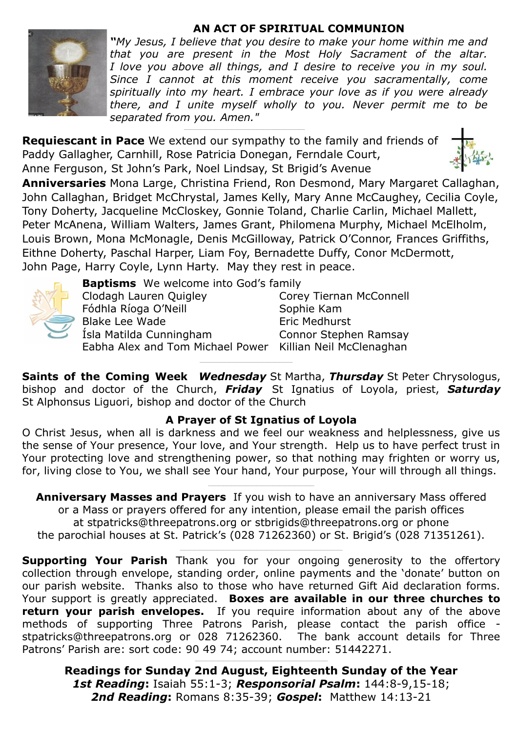#### **AN ACT OF SPIRITUAL COMMUNION**



*"My Jesus, I believe that you desire to make your home within me and that you are present in the Most Holy Sacrament of the altar. I love you above all things, and I desire to receive you in my soul. Since I cannot at this moment receive you sacramentally, come spiritually into my heart. I embrace your love as if you were already there, and I unite myself wholly to you. Never permit me to be separated from you. Amen."* 

**Requiescant in Pace** We extend our sympathy to the family and friends of Paddy Gallagher, Carnhill, Rose Patricia Donegan, Ferndale Court, Anne Ferguson, St John's Park, Noel Lindsay, St Brigid's Avenue



**Anniversaries** Mona Large, Christina Friend, Ron Desmond, Mary Margaret Callaghan, John Callaghan, Bridget McChrystal, James Kelly, Mary Anne McCaughey, Cecilia Coyle, Tony Doherty, Jacqueline McCloskey, Gonnie Toland, Charlie Carlin, Michael Mallett, Peter McAnena, William Walters, James Grant, Philomena Murphy, Michael McElholm, Louis Brown, Mona McMonagle, Denis McGilloway, Patrick O'Connor, Frances Griffiths, Eithne Doherty, Paschal Harper, Liam Foy, Bernadette Duffy, Conor McDermott, John Page, Harry Coyle, Lynn Harty. May they rest in peace.



**Baptisms** We welcome into God's family

Clodagh Lauren Quigley Corey Tiernan McConnell Fódhla Ríoga O'Neill Sophie Kam Blake Lee Wade **Eric Medhurst** Ísla Matilda Cunningham Connor Stephen Ramsay Eabha Alex and Tom Michael Power Killian Neil McClenaghan \_\_\_\_\_\_\_\_\_\_\_\_\_\_\_\_\_\_\_\_\_\_\_\_\_\_\_\_\_\_\_\_\_\_\_\_\_\_\_\_\_\_\_\_\_\_\_\_\_\_\_\_\_\_\_\_

**Saints of the Coming Week** *Wednesday* St Martha, *Thursday* St Peter Chrysologus, bishop and doctor of the Church, *Friday* St Ignatius of Loyola, priest, *Saturday* St Alphonsus Liguori, bishop and doctor of the Church

### **A Prayer of St Ignatius of Loyola**

O Christ Jesus, when all is darkness and we feel our weakness and helplessness, give us the sense of Your presence, Your love, and Your strength. Help us to have perfect trust in Your protecting love and strengthening power, so that nothing may frighten or worry us, for, living close to You, we shall see Your hand, Your purpose, Your will through all things.

**Anniversary Masses and Prayers** If you wish to have an anniversary Mass offered or a Mass or prayers offered for any intention, please email the parish offices at stpatricks@threepatrons.org or stbrigids@threepatrons.org or phone the parochial houses at St. Patrick's (028 71262360) or St. Brigid's (028 71351261).

**Supporting Your Parish** Thank you for your ongoing generosity to the offertory collection through envelope, standing order, online payments and the 'donate' button on our parish website. Thanks also to those who have returned Gift Aid declaration forms. Your support is greatly appreciated. **Boxes are available in our three churches to return your parish envelopes.** If you require information about any of the above methods of supporting Three Patrons Parish, please contact the parish office stpatricks@threepatrons.org or 028 71262360. The bank account details for Three Patrons' Parish are: sort code: 90 49 74; account number: 51442271.

**Readings for Sunday 2nd August, Eighteenth Sunday of the Year**  *1st Reading***:** Isaiah 55:1-3; *Responsorial Psalm***:** 144:8-9,15-18; *2nd Reading***:** Romans 8:35-39; *Gospel***:** Matthew 14:13-21